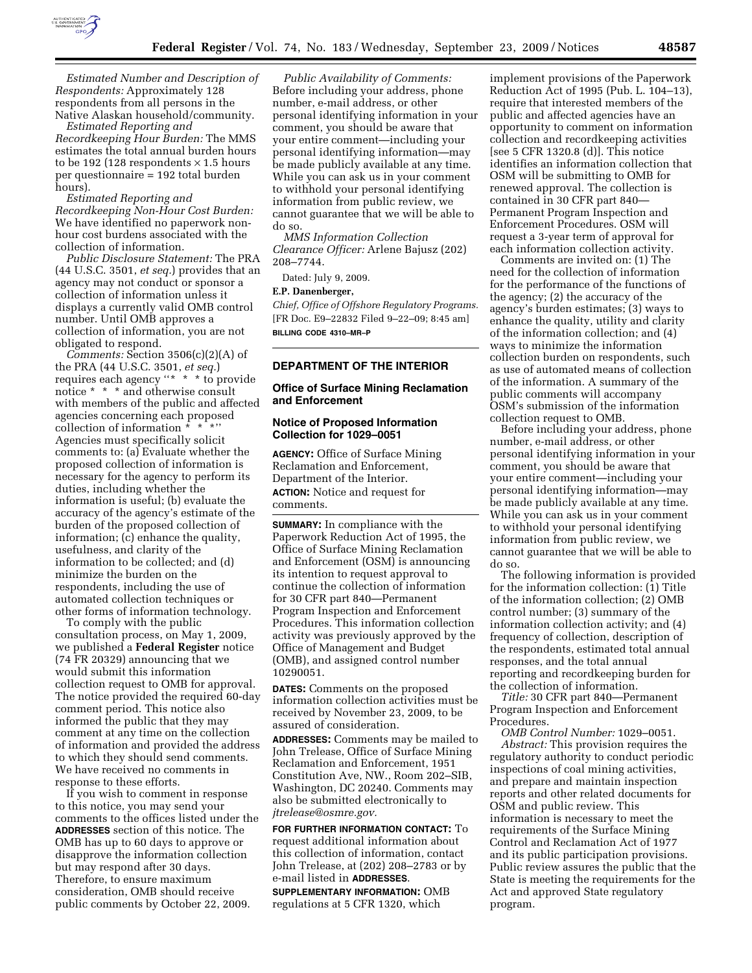

*Estimated Number and Description of Respondents:* Approximately 128 respondents from all persons in the Native Alaskan household/community.

*Estimated Reporting and Recordkeeping Hour Burden:* The MMS estimates the total annual burden hours to be 192 (128 respondents  $\times$  1.5 hours per questionnaire = 192 total burden hours).

## *Estimated Reporting and Recordkeeping Non-Hour Cost Burden:*  We have identified no paperwork nonhour cost burdens associated with the collection of information.

*Public Disclosure Statement:* The PRA (44 U.S.C. 3501, *et seq.*) provides that an agency may not conduct or sponsor a collection of information unless it displays a currently valid OMB control number. Until OMB approves a collection of information, you are not obligated to respond.

*Comments:* Section 3506(c)(2)(A) of the PRA (44 U.S.C. 3501, *et seq.*) requires each agency ''\* \* \* to provide notice \* \* \* and otherwise consult with members of the public and affected agencies concerning each proposed collection of information \* \* Agencies must specifically solicit comments to: (a) Evaluate whether the proposed collection of information is necessary for the agency to perform its duties, including whether the information is useful; (b) evaluate the accuracy of the agency's estimate of the burden of the proposed collection of information; (c) enhance the quality, usefulness, and clarity of the information to be collected; and (d) minimize the burden on the respondents, including the use of automated collection techniques or other forms of information technology.

To comply with the public consultation process, on May 1, 2009, we published a **Federal Register** notice (74 FR 20329) announcing that we would submit this information collection request to OMB for approval. The notice provided the required 60-day comment period. This notice also informed the public that they may comment at any time on the collection of information and provided the address to which they should send comments. We have received no comments in response to these efforts.

If you wish to comment in response to this notice, you may send your comments to the offices listed under the **ADDRESSES** section of this notice. The OMB has up to 60 days to approve or disapprove the information collection but may respond after 30 days. Therefore, to ensure maximum consideration, OMB should receive public comments by October 22, 2009.

*Public Availability of Comments:*  Before including your address, phone number, e-mail address, or other personal identifying information in your comment, you should be aware that your entire comment—including your personal identifying information—may be made publicly available at any time. While you can ask us in your comment to withhold your personal identifying information from public review, we cannot guarantee that we will be able to do so.

*MMS Information Collection Clearance Officer:* Arlene Bajusz (202) 208–7744.

Dated: July 9, 2009.

## **E.P. Danenberger,**

*Chief, Office of Offshore Regulatory Programs.*  [FR Doc. E9–22832 Filed 9–22–09; 8:45 am] **BILLING CODE 4310–MR–P** 

## **DEPARTMENT OF THE INTERIOR**

## **Office of Surface Mining Reclamation and Enforcement**

## **Notice of Proposed Information Collection for 1029–0051**

**AGENCY:** Office of Surface Mining Reclamation and Enforcement, Department of the Interior. **ACTION:** Notice and request for comments.

**SUMMARY:** In compliance with the Paperwork Reduction Act of 1995, the Office of Surface Mining Reclamation and Enforcement (OSM) is announcing its intention to request approval to continue the collection of information for 30 CFR part 840—Permanent Program Inspection and Enforcement Procedures. This information collection activity was previously approved by the Office of Management and Budget (OMB), and assigned control number 10290051.

**DATES:** Comments on the proposed information collection activities must be received by November 23, 2009, to be assured of consideration.

**ADDRESSES:** Comments may be mailed to John Trelease, Office of Surface Mining Reclamation and Enforcement, 1951 Constitution Ave, NW., Room 202–SIB, Washington, DC 20240. Comments may also be submitted electronically to *jtrelease@osmre.gov.* 

**FOR FURTHER INFORMATION CONTACT:** To request additional information about this collection of information, contact John Trelease, at (202) 208–2783 or by e-mail listed in **ADDRESSES**.

**SUPPLEMENTARY INFORMATION:** OMB regulations at 5 CFR 1320, which

implement provisions of the Paperwork Reduction Act of 1995 (Pub. L. 104–13), require that interested members of the public and affected agencies have an opportunity to comment on information collection and recordkeeping activities [see 5 CFR 1320.8 (d)]. This notice identifies an information collection that OSM will be submitting to OMB for renewed approval. The collection is contained in 30 CFR part 840— Permanent Program Inspection and Enforcement Procedures. OSM will request a 3-year term of approval for each information collection activity.

Comments are invited on: (1) The need for the collection of information for the performance of the functions of the agency; (2) the accuracy of the agency's burden estimates; (3) ways to enhance the quality, utility and clarity of the information collection; and (4) ways to minimize the information collection burden on respondents, such as use of automated means of collection of the information. A summary of the public comments will accompany OSM's submission of the information collection request to OMB.

Before including your address, phone number, e-mail address, or other personal identifying information in your comment, you should be aware that your entire comment—including your personal identifying information—may be made publicly available at any time. While you can ask us in your comment to withhold your personal identifying information from public review, we cannot guarantee that we will be able to do so.

The following information is provided for the information collection: (1) Title of the information collection; (2) OMB control number; (3) summary of the information collection activity; and (4) frequency of collection, description of the respondents, estimated total annual responses, and the total annual reporting and recordkeeping burden for the collection of information.

*Title:* 30 CFR part 840—Permanent Program Inspection and Enforcement Procedures.

*OMB Control Number:* 1029–0051. *Abstract:* This provision requires the regulatory authority to conduct periodic inspections of coal mining activities, and prepare and maintain inspection reports and other related documents for OSM and public review. This information is necessary to meet the requirements of the Surface Mining Control and Reclamation Act of 1977 and its public participation provisions. Public review assures the public that the State is meeting the requirements for the Act and approved State regulatory program.